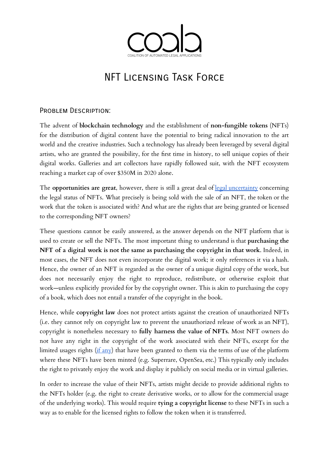

## NFT Licensing Task Force

## PROBLEM DESCRIPTION:

The advent of **blockchain technology** and the establishment of **non-fungible tokens** (NFTs) for the distribution of digital content have the potential to bring radical innovation to the art world and the creative industries. Such a technology has already been leveraged by several digital artists, who are granted the possibility, for the first time in history, to sell unique copies of their digital works. Galleries and art collectors have rapidly followed suit, with the NFT ecosystem reaching a market cap of over \$350M in 2020 alone.

The **opportunities are great**, however, there is still a great deal of legal [uncertainty](https://serpentine-uploads.s3.amazonaws.com/uploads/2020/05/Serpentine-Legal-Lab-Paper_Art-Collaborations-NFTs-FINAL-copy.pdf) concerning the legal status of NFTs. What precisely is being sold with the sale of an NFT, the token or the work that the token is associated with? And what are the rights that are being granted or licensed to the corresponding NFT owners?

These questions cannot be easily answered, as the answer depends on the NFT platform that is used to create or sell the NFTs. The most important thing to understand is that **purchasing the NFT of a digital work is not the same as purchasing the copyright in that work**. Indeed, in most cases, the NFT does not even incorporate the digital work; it only references it via a hash. Hence, the owner of an NFT is regarded as the owner of a unique digital copy of the work, but does not necessarily enjoy the right to reproduce, redistribute, or otherwise exploit that work—unless explicitly provided for by the copyright owner. This is akin to purchasing the copy of a book, which does not entail a transfer of the copyright in the book.

Hence, while **copyright law** does not protect artists against the creation of unauthorized NFTs (i.e. they cannot rely on copyright law to prevent the unauthorized release of work as an NFT), copyright is nonetheless necessary to **fully harness the value of NFTs**. Most NFT owners do not have any right in the copyright of the work associated with their NFTs, except for the limited usages rights (if [any](https://www.traverselegal.com/blog/nft-license-terms-lawyer/)) that have been granted to them via the terms of use of the platform where these NFTs have been minted (e.g. Superrare, OpenSea, etc.) This typically only includes the right to privately enjoy the work and display it publicly on social media or in virtual galleries.

In order to increase the value of their NFTs, artists might decide to provide additional rights to the NFTs holder (e.g. the right to create derivative works, or to allow for the commercial usage of the underlying works). This would require **tying a copyright license** to these NFTs in such a way as to enable for the licensed rights to follow the token when it is transferred.